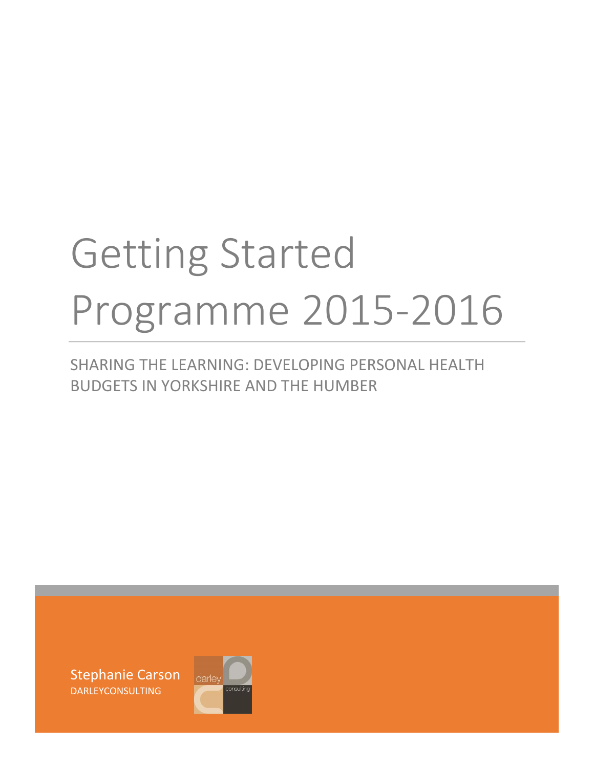# Getting Started Programme 2015-2016

# SHARING THE LEARNING: DEVELOPING PERSONAL HEALTH BUDGETS IN YORKSHIRE AND THE HUMBER

Stephanie Carson DARLEYCONSULTING

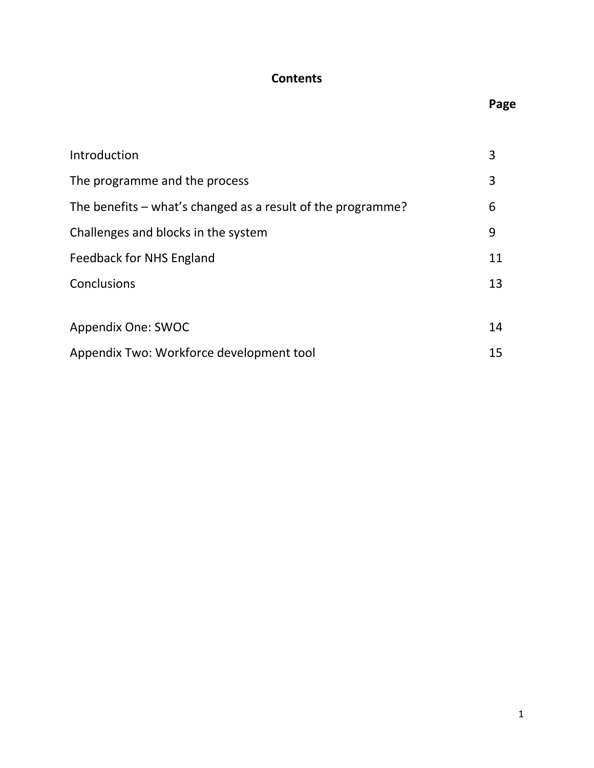## **Contents**

# **Page**

| Introduction                                                | 3  |  |  |
|-------------------------------------------------------------|----|--|--|
| The programme and the process                               | 3  |  |  |
| The benefits – what's changed as a result of the programme? |    |  |  |
| Challenges and blocks in the system                         | 9  |  |  |
| Feedback for NHS England                                    | 11 |  |  |
| Conclusions                                                 | 13 |  |  |
|                                                             |    |  |  |
| Appendix One: SWOC                                          | 14 |  |  |
| Appendix Two: Workforce development tool                    | 15 |  |  |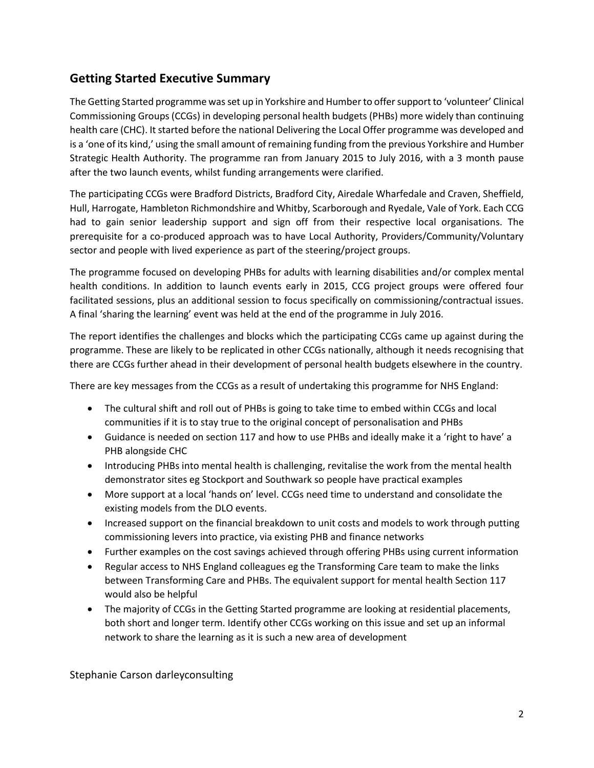## **Getting Started Executive Summary**

The Getting Started programme was set up in Yorkshire and Humber to offer support to 'volunteer' Clinical Commissioning Groups (CCGs) in developing personal health budgets (PHBs) more widely than continuing health care (CHC). It started before the national Delivering the Local Offer programme was developed and is a 'one of its kind,' using the small amount of remaining funding from the previous Yorkshire and Humber Strategic Health Authority. The programme ran from January 2015 to July 2016, with a 3 month pause after the two launch events, whilst funding arrangements were clarified.

The participating CCGs were Bradford Districts, Bradford City, Airedale Wharfedale and Craven, Sheffield, Hull, Harrogate, Hambleton Richmondshire and Whitby, Scarborough and Ryedale, Vale of York. Each CCG had to gain senior leadership support and sign off from their respective local organisations. The prerequisite for a co-produced approach was to have Local Authority, Providers/Community/Voluntary sector and people with lived experience as part of the steering/project groups.

The programme focused on developing PHBs for adults with learning disabilities and/or complex mental health conditions. In addition to launch events early in 2015, CCG project groups were offered four facilitated sessions, plus an additional session to focus specifically on commissioning/contractual issues. A final 'sharing the learning' event was held at the end of the programme in July 2016.

The report identifies the challenges and blocks which the participating CCGs came up against during the programme. These are likely to be replicated in other CCGs nationally, although it needs recognising that there are CCGs further ahead in their development of personal health budgets elsewhere in the country.

There are key messages from the CCGs as a result of undertaking this programme for NHS England:

- The cultural shift and roll out of PHBs is going to take time to embed within CCGs and local communities if it is to stay true to the original concept of personalisation and PHBs
- Guidance is needed on section 117 and how to use PHBs and ideally make it a 'right to have' a PHB alongside CHC
- Introducing PHBs into mental health is challenging, revitalise the work from the mental health demonstrator sites eg Stockport and Southwark so people have practical examples
- More support at a local 'hands on' level. CCGs need time to understand and consolidate the existing models from the DLO events.
- Increased support on the financial breakdown to unit costs and models to work through putting commissioning levers into practice, via existing PHB and finance networks
- Further examples on the cost savings achieved through offering PHBs using current information
- Regular access to NHS England colleagues eg the Transforming Care team to make the links between Transforming Care and PHBs. The equivalent support for mental health Section 117 would also be helpful
- The majority of CCGs in the Getting Started programme are looking at residential placements, both short and longer term. Identify other CCGs working on this issue and set up an informal network to share the learning as it is such a new area of development

Stephanie Carson darleyconsulting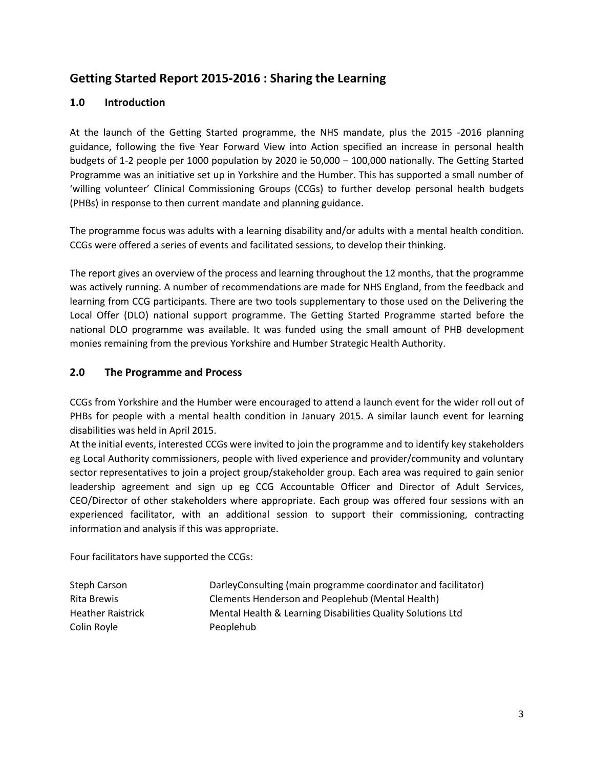## **Getting Started Report 2015-2016 : Sharing the Learning**

#### **1.0 Introduction**

At the launch of the Getting Started programme, the NHS mandate, plus the 2015 -2016 planning guidance, following the five Year Forward View into Action specified an increase in personal health budgets of 1-2 people per 1000 population by 2020 ie 50,000 – 100,000 nationally. The Getting Started Programme was an initiative set up in Yorkshire and the Humber. This has supported a small number of 'willing volunteer' Clinical Commissioning Groups (CCGs) to further develop personal health budgets (PHBs) in response to then current mandate and planning guidance.

The programme focus was adults with a learning disability and/or adults with a mental health condition. CCGs were offered a series of events and facilitated sessions, to develop their thinking.

The report gives an overview of the process and learning throughout the 12 months, that the programme was actively running. A number of recommendations are made for NHS England, from the feedback and learning from CCG participants. There are two tools supplementary to those used on the Delivering the Local Offer (DLO) national support programme. The Getting Started Programme started before the national DLO programme was available. It was funded using the small amount of PHB development monies remaining from the previous Yorkshire and Humber Strategic Health Authority.

#### **2.0 The Programme and Process**

CCGs from Yorkshire and the Humber were encouraged to attend a launch event for the wider roll out of PHBs for people with a mental health condition in January 2015. A similar launch event for learning disabilities was held in April 2015.

At the initial events, interested CCGs were invited to join the programme and to identify key stakeholders eg Local Authority commissioners, people with lived experience and provider/community and voluntary sector representatives to join a project group/stakeholder group. Each area was required to gain senior leadership agreement and sign up eg CCG Accountable Officer and Director of Adult Services, CEO/Director of other stakeholders where appropriate. Each group was offered four sessions with an experienced facilitator, with an additional session to support their commissioning, contracting information and analysis if this was appropriate.

Four facilitators have supported the CCGs:

| Steph Carson             | DarleyConsulting (main programme coordinator and facilitator) |
|--------------------------|---------------------------------------------------------------|
| Rita Brewis              | Clements Henderson and Peoplehub (Mental Health)              |
| <b>Heather Raistrick</b> | Mental Health & Learning Disabilities Quality Solutions Ltd   |
| Colin Royle              | Peoplehub                                                     |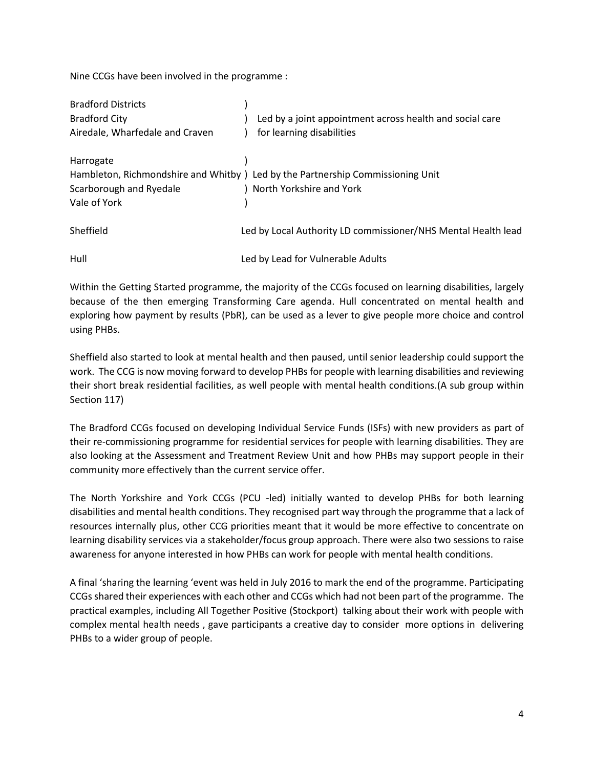Nine CCGs have been involved in the programme :

| <b>Bradford Districts</b>       |                                                                                 |
|---------------------------------|---------------------------------------------------------------------------------|
| <b>Bradford City</b>            | Led by a joint appointment across health and social care                        |
| Airedale, Wharfedale and Craven | for learning disabilities                                                       |
| Harrogate                       |                                                                                 |
|                                 | Hambleton, Richmondshire and Whitby ) Led by the Partnership Commissioning Unit |
| Scarborough and Ryedale         | ) North Yorkshire and York                                                      |
| Vale of York                    |                                                                                 |
| Sheffield                       | Led by Local Authority LD commissioner/NHS Mental Health lead                   |
| Hull                            | Led by Lead for Vulnerable Adults                                               |

Within the Getting Started programme, the majority of the CCGs focused on learning disabilities, largely because of the then emerging Transforming Care agenda. Hull concentrated on mental health and exploring how payment by results (PbR), can be used as a lever to give people more choice and control using PHBs.

Sheffield also started to look at mental health and then paused, until senior leadership could support the work. The CCG is now moving forward to develop PHBs for people with learning disabilities and reviewing their short break residential facilities, as well people with mental health conditions.(A sub group within Section 117)

The Bradford CCGs focused on developing Individual Service Funds (ISFs) with new providers as part of their re-commissioning programme for residential services for people with learning disabilities. They are also looking at the Assessment and Treatment Review Unit and how PHBs may support people in their community more effectively than the current service offer.

The North Yorkshire and York CCGs (PCU -led) initially wanted to develop PHBs for both learning disabilities and mental health conditions. They recognised part way through the programme that a lack of resources internally plus, other CCG priorities meant that it would be more effective to concentrate on learning disability services via a stakeholder/focus group approach. There were also two sessions to raise awareness for anyone interested in how PHBs can work for people with mental health conditions.

A final 'sharing the learning 'event was held in July 2016 to mark the end of the programme. Participating CCGs shared their experiences with each other and CCGs which had not been part of the programme. The practical examples, including All Together Positive (Stockport) talking about their work with people with complex mental health needs , gave participants a creative day to consider more options in delivering PHBs to a wider group of people.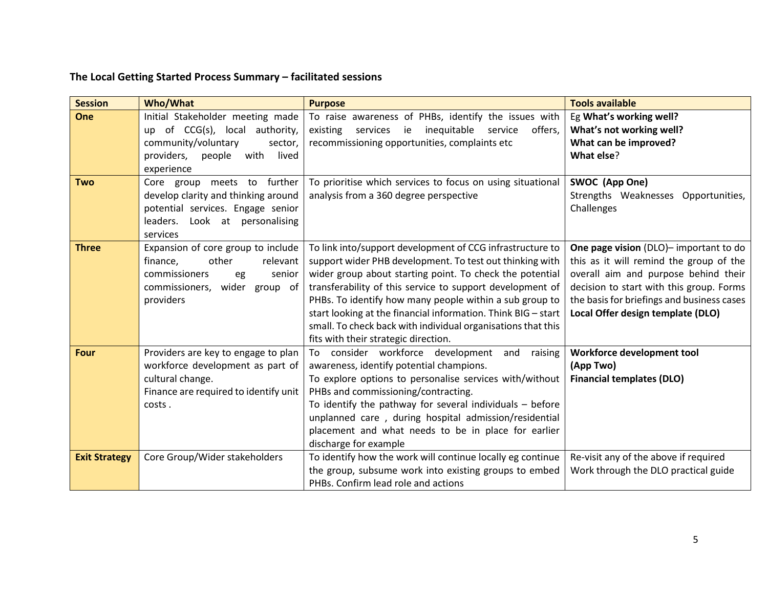# **The Local Getting Started Process Summary – facilitated sessions**

| <b>Session</b>       | <b>Who/What</b>                                                     | <b>Purpose</b>                                                                                                        | <b>Tools available</b>                                                            |
|----------------------|---------------------------------------------------------------------|-----------------------------------------------------------------------------------------------------------------------|-----------------------------------------------------------------------------------|
| One                  | Initial Stakeholder meeting made<br>up of CCG(s), local authority,  | To raise awareness of PHBs, identify the issues with<br>existing<br>services<br>ie<br>inequitable service<br>offers,  | Eg What's working well?<br>What's not working well?                               |
|                      | community/voluntary<br>sector,                                      | recommissioning opportunities, complaints etc                                                                         | What can be improved?                                                             |
|                      | lived<br>providers,<br>people<br>with                               |                                                                                                                       | What else?                                                                        |
|                      | experience                                                          |                                                                                                                       |                                                                                   |
| <b>Two</b>           | Core group meets to further                                         | To prioritise which services to focus on using situational                                                            | SWOC (App One)                                                                    |
|                      | develop clarity and thinking around                                 | analysis from a 360 degree perspective                                                                                | Strengths Weaknesses Opportunities,                                               |
|                      | potential services. Engage senior                                   |                                                                                                                       | Challenges                                                                        |
|                      | leaders. Look at personalising                                      |                                                                                                                       |                                                                                   |
|                      | services                                                            |                                                                                                                       |                                                                                   |
| <b>Three</b>         | Expansion of core group to include<br>other<br>finance,<br>relevant | To link into/support development of CCG infrastructure to<br>support wider PHB development. To test out thinking with | One page vision (DLO)- important to do<br>this as it will remind the group of the |
|                      | commissioners<br>senior                                             | wider group about starting point. To check the potential                                                              | overall aim and purpose behind their                                              |
|                      | eg<br>commissioners,<br>wider<br>group of                           | transferability of this service to support development of                                                             | decision to start with this group. Forms                                          |
|                      | providers                                                           | PHBs. To identify how many people within a sub group to                                                               | the basis for briefings and business cases                                        |
|                      |                                                                     | start looking at the financial information. Think BIG - start                                                         | Local Offer design template (DLO)                                                 |
|                      |                                                                     | small. To check back with individual organisations that this                                                          |                                                                                   |
|                      |                                                                     | fits with their strategic direction.                                                                                  |                                                                                   |
| <b>Four</b>          | Providers are key to engage to plan                                 | To consider workforce development<br>and<br>raising                                                                   | Workforce development tool                                                        |
|                      | workforce development as part of                                    | awareness, identify potential champions.                                                                              | (App Two)                                                                         |
|                      | cultural change.                                                    | To explore options to personalise services with/without                                                               | <b>Financial templates (DLO)</b>                                                  |
|                      | Finance are required to identify unit                               | PHBs and commissioning/contracting.                                                                                   |                                                                                   |
|                      | costs.                                                              | To identify the pathway for several individuals - before                                                              |                                                                                   |
|                      |                                                                     | unplanned care, during hospital admission/residential                                                                 |                                                                                   |
|                      |                                                                     | placement and what needs to be in place for earlier                                                                   |                                                                                   |
|                      |                                                                     | discharge for example                                                                                                 |                                                                                   |
| <b>Exit Strategy</b> | Core Group/Wider stakeholders                                       | To identify how the work will continue locally eg continue                                                            | Re-visit any of the above if required                                             |
|                      |                                                                     | the group, subsume work into existing groups to embed                                                                 | Work through the DLO practical guide                                              |
|                      |                                                                     | PHBs. Confirm lead role and actions                                                                                   |                                                                                   |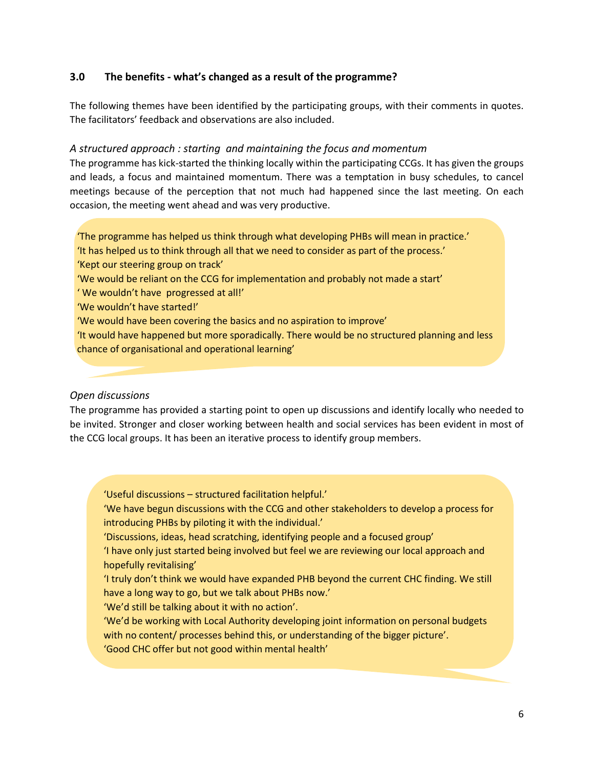#### **3.0 The benefits - what's changed as a result of the programme?**

The following themes have been identified by the participating groups, with their comments in quotes. The facilitators' feedback and observations are also included.

#### *A structured approach : starting and maintaining the focus and momentum*

The programme has kick-started the thinking locally within the participating CCGs. It has given the groups and leads, a focus and maintained momentum. There was a temptation in busy schedules, to cancel meetings because of the perception that not much had happened since the last meeting. On each occasion, the meeting went ahead and was very productive.

'The programme has helped us think through what developing PHBs will mean in practice.' 'It has helped us to think through all that we need to consider as part of the process.'

'Kept our steering group on track'

'We would be reliant on the CCG for implementation and probably not made a start'

' We wouldn't have progressed at all!'

- 'We wouldn't have started!'
- 'We would have been covering the basics and no aspiration to improve'

'It would have happened but more sporadically. There would be no structured planning and less chance of organisational and operational learning'

#### *Open discussions*

The programme has provided a starting point to open up discussions and identify locally who needed to be invited. Stronger and closer working between health and social services has been evident in most of the CCG local groups. It has been an iterative process to identify group members.

'Useful discussions – structured facilitation helpful.'

'We have begun discussions with the CCG and other stakeholders to develop a process for introducing PHBs by piloting it with the individual.'

'Discussions, ideas, head scratching, identifying people and a focused group'

'I have only just started being involved but feel we are reviewing our local approach and hopefully revitalising'

'I truly don't think we would have expanded PHB beyond the current CHC finding. We still have a long way to go, but we talk about PHBs now.'

'We'd still be talking about it with no action'.

'We'd be working with Local Authority developing joint information on personal budgets with no content/ processes behind this, or understanding of the bigger picture'. 'Good CHC offer but not good within mental health'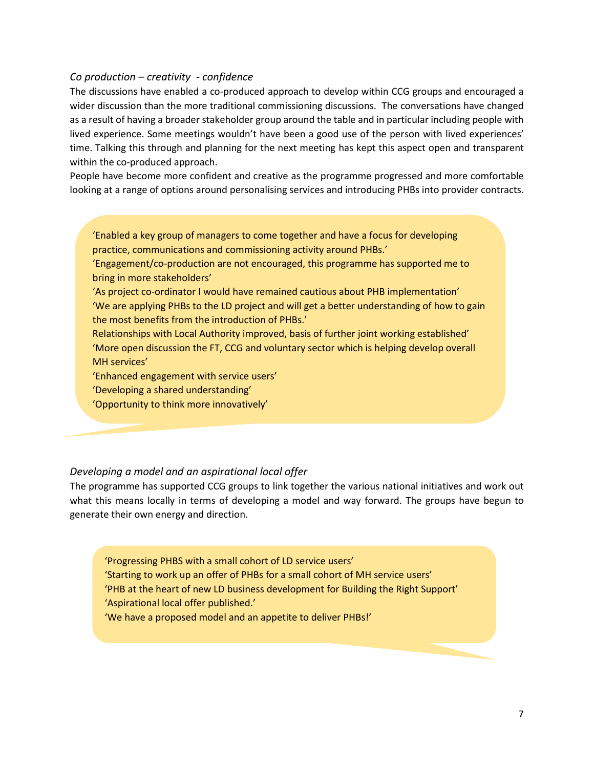#### *Co production – creativity - confidence*

The discussions have enabled a co-produced approach to develop within CCG groups and encouraged a wider discussion than the more traditional commissioning discussions. The conversations have changed as a result of having a broader stakeholder group around the table and in particular including people with lived experience. Some meetings wouldn't have been a good use of the person with lived experiences' time. Talking this through and planning for the next meeting has kept this aspect open and transparent within the co-produced approach.

People have become more confident and creative as the programme progressed and more comfortable looking at a range of options around personalising services and introducing PHBs into provider contracts.

'Enabled a key group of managers to come together and have a focus for developing practice, communications and commissioning activity around PHBs.'

'Engagement/co-production are not encouraged, this programme has supported me to bring in more stakeholders'

'As project co-ordinator I would have remained cautious about PHB implementation' 'We are applying PHBs to the LD project and will get a better understanding of how to gain the most benefits from the introduction of PHBs.'

Relationships with Local Authority improved, basis of further joint working established' 'More open discussion the FT, CCG and voluntary sector which is helping develop overall MH services'

'Enhanced engagement with service users'

'Developing a shared understanding'

'Opportunity to think more innovatively'

#### *Developing a model and an aspirational local offer*

The programme has supported CCG groups to link together the various national initiatives and work out what this means locally in terms of developing a model and way forward. The groups have begun to generate their own energy and direction.

'Progressing PHBS with a small cohort of LD service users' 'Starting to work up an offer of PHBs for a small cohort of MH service users' 'PHB at the heart of new LD business development for Building the Right Support' 'Aspirational local offer published.' 'We have a proposed model and an appetite to deliver PHBs!'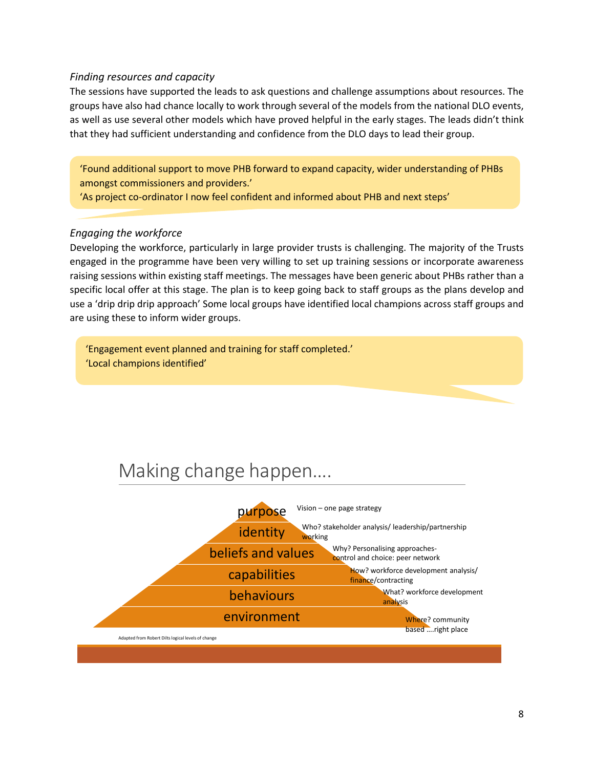#### *Finding resources and capacity*

The sessions have supported the leads to ask questions and challenge assumptions about resources. The groups have also had chance locally to work through several of the models from the national DLO events, as well as use several other models which have proved helpful in the early stages. The leads didn't think that they had sufficient understanding and confidence from the DLO days to lead their group.

'Found additional support to move PHB forward to expand capacity, wider understanding of PHBs amongst commissioners and providers.'

'As project co-ordinator I now feel confident and informed about PHB and next steps'

#### *Engaging the workforce*

Developing the workforce, particularly in large provider trusts is challenging. The majority of the Trusts engaged in the programme have been very willing to set up training sessions or incorporate awareness raising sessions within existing staff meetings. The messages have been generic about PHBs rather than a specific local offer at this stage. The plan is to keep going back to staff groups as the plans develop and use a 'drip drip drip approach' Some local groups have identified local champions across staff groups and are using these to inform wider groups.

'Engagement event planned and training for staff completed.' 'Local champions identified'

# Making change happen….

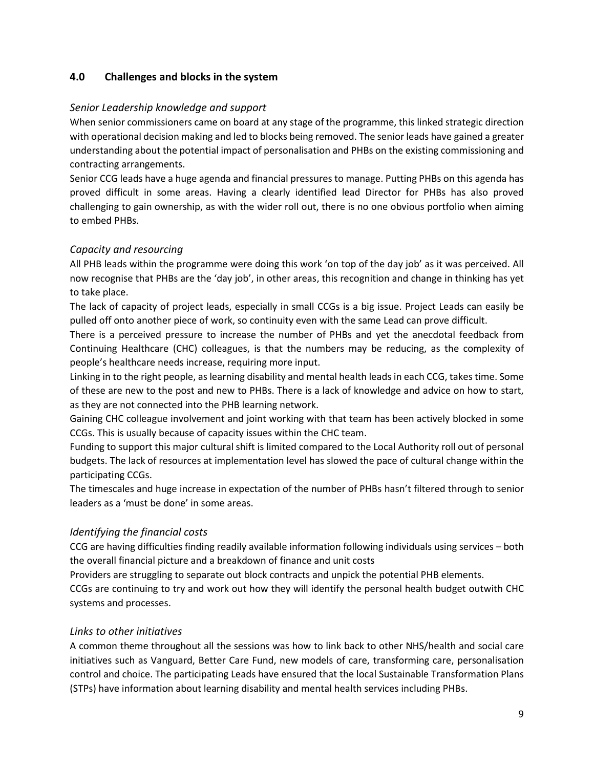#### **4.0 Challenges and blocks in the system**

#### *Senior Leadership knowledge and support*

When senior commissioners came on board at any stage of the programme, this linked strategic direction with operational decision making and led to blocks being removed. The senior leads have gained a greater understanding about the potential impact of personalisation and PHBs on the existing commissioning and contracting arrangements.

Senior CCG leads have a huge agenda and financial pressures to manage. Putting PHBs on this agenda has proved difficult in some areas. Having a clearly identified lead Director for PHBs has also proved challenging to gain ownership, as with the wider roll out, there is no one obvious portfolio when aiming to embed PHBs.

#### *Capacity and resourcing*

All PHB leads within the programme were doing this work 'on top of the day job' as it was perceived. All now recognise that PHBs are the 'day job', in other areas, this recognition and change in thinking has yet to take place.

The lack of capacity of project leads, especially in small CCGs is a big issue. Project Leads can easily be pulled off onto another piece of work, so continuity even with the same Lead can prove difficult.

There is a perceived pressure to increase the number of PHBs and yet the anecdotal feedback from Continuing Healthcare (CHC) colleagues, is that the numbers may be reducing, as the complexity of people's healthcare needs increase, requiring more input.

Linking in to the right people, as learning disability and mental health leads in each CCG, takes time. Some of these are new to the post and new to PHBs. There is a lack of knowledge and advice on how to start, as they are not connected into the PHB learning network.

Gaining CHC colleague involvement and joint working with that team has been actively blocked in some CCGs. This is usually because of capacity issues within the CHC team.

Funding to support this major cultural shift is limited compared to the Local Authority roll out of personal budgets. The lack of resources at implementation level has slowed the pace of cultural change within the participating CCGs.

The timescales and huge increase in expectation of the number of PHBs hasn't filtered through to senior leaders as a 'must be done' in some areas.

#### *Identifying the financial costs*

CCG are having difficulties finding readily available information following individuals using services – both the overall financial picture and a breakdown of finance and unit costs

Providers are struggling to separate out block contracts and unpick the potential PHB elements.

CCGs are continuing to try and work out how they will identify the personal health budget outwith CHC systems and processes.

#### *Links to other initiatives*

A common theme throughout all the sessions was how to link back to other NHS/health and social care initiatives such as Vanguard, Better Care Fund, new models of care, transforming care, personalisation control and choice. The participating Leads have ensured that the local Sustainable Transformation Plans (STPs) have information about learning disability and mental health services including PHBs.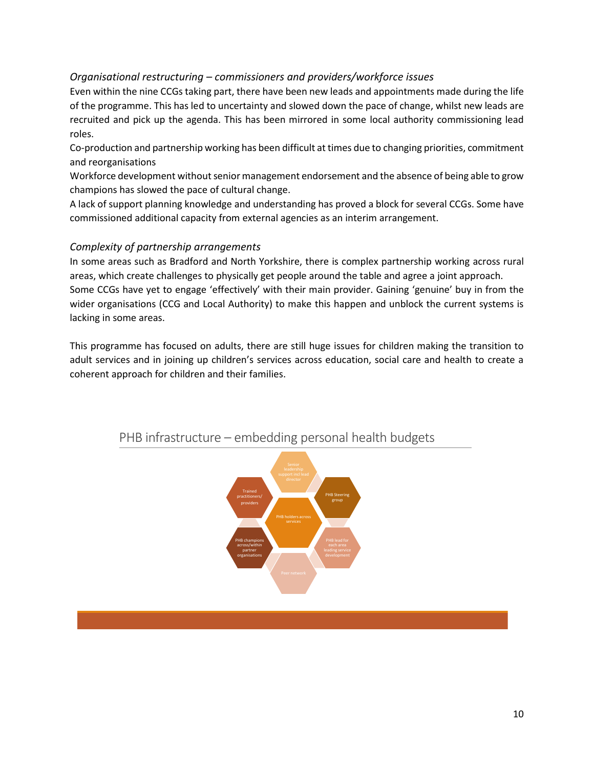#### *Organisational restructuring – commissioners and providers/workforce issues*

Even within the nine CCGs taking part, there have been new leads and appointments made during the life of the programme. This has led to uncertainty and slowed down the pace of change, whilst new leads are recruited and pick up the agenda. This has been mirrored in some local authority commissioning lead roles.

Co-production and partnership working has been difficult at times due to changing priorities, commitment and reorganisations

Workforce development without senior management endorsement and the absence of being able to grow champions has slowed the pace of cultural change.

A lack of support planning knowledge and understanding has proved a block for several CCGs. Some have commissioned additional capacity from external agencies as an interim arrangement.

#### *Complexity of partnership arrangements*

In some areas such as Bradford and North Yorkshire, there is complex partnership working across rural areas, which create challenges to physically get people around the table and agree a joint approach. Some CCGs have yet to engage 'effectively' with their main provider. Gaining 'genuine' buy in from the wider organisations (CCG and Local Authority) to make this happen and unblock the current systems is lacking in some areas.

This programme has focused on adults, there are still huge issues for children making the transition to adult services and in joining up children's services across education, social care and health to create a coherent approach for children and their families.



### PHB infrastructure – embedding personal health budgets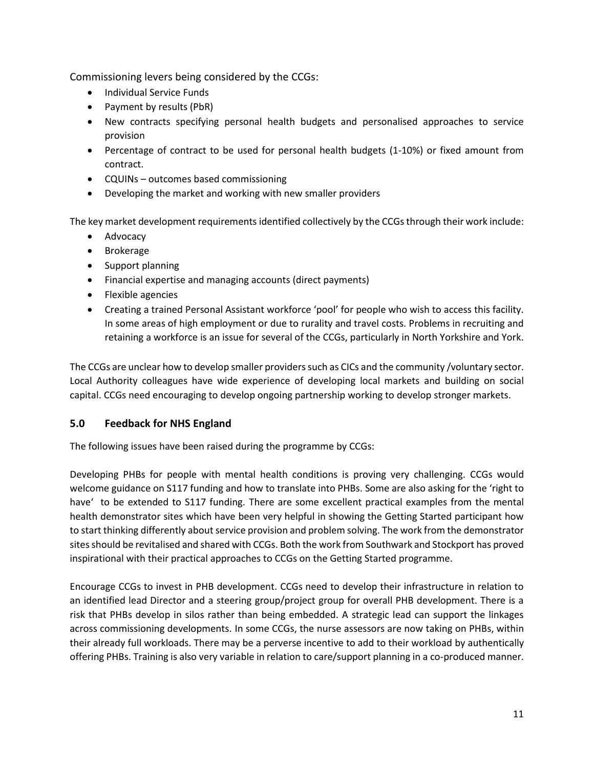Commissioning levers being considered by the CCGs:

- Individual Service Funds
- Payment by results (PbR)
- New contracts specifying personal health budgets and personalised approaches to service provision
- Percentage of contract to be used for personal health budgets (1-10%) or fixed amount from contract.
- CQUINs outcomes based commissioning
- Developing the market and working with new smaller providers

The key market development requirements identified collectively by the CCGs through their work include:

- Advocacy
- Brokerage
- Support planning
- Financial expertise and managing accounts (direct payments)
- Flexible agencies
- Creating a trained Personal Assistant workforce 'pool' for people who wish to access this facility. In some areas of high employment or due to rurality and travel costs. Problems in recruiting and retaining a workforce is an issue for several of the CCGs, particularly in North Yorkshire and York.

The CCGs are unclear how to develop smaller providers such as CICs and the community /voluntary sector. Local Authority colleagues have wide experience of developing local markets and building on social capital. CCGs need encouraging to develop ongoing partnership working to develop stronger markets.

#### **5.0 Feedback for NHS England**

The following issues have been raised during the programme by CCGs:

Developing PHBs for people with mental health conditions is proving very challenging. CCGs would welcome guidance on S117 funding and how to translate into PHBs. Some are also asking for the 'right to have' to be extended to S117 funding. There are some excellent practical examples from the mental health demonstrator sites which have been very helpful in showing the Getting Started participant how to start thinking differently about service provision and problem solving. The work from the demonstrator sites should be revitalised and shared with CCGs. Both the work from Southwark and Stockport has proved inspirational with their practical approaches to CCGs on the Getting Started programme.

Encourage CCGs to invest in PHB development. CCGs need to develop their infrastructure in relation to an identified lead Director and a steering group/project group for overall PHB development. There is a risk that PHBs develop in silos rather than being embedded. A strategic lead can support the linkages across commissioning developments. In some CCGs, the nurse assessors are now taking on PHBs, within their already full workloads. There may be a perverse incentive to add to their workload by authentically offering PHBs. Training is also very variable in relation to care/support planning in a co-produced manner.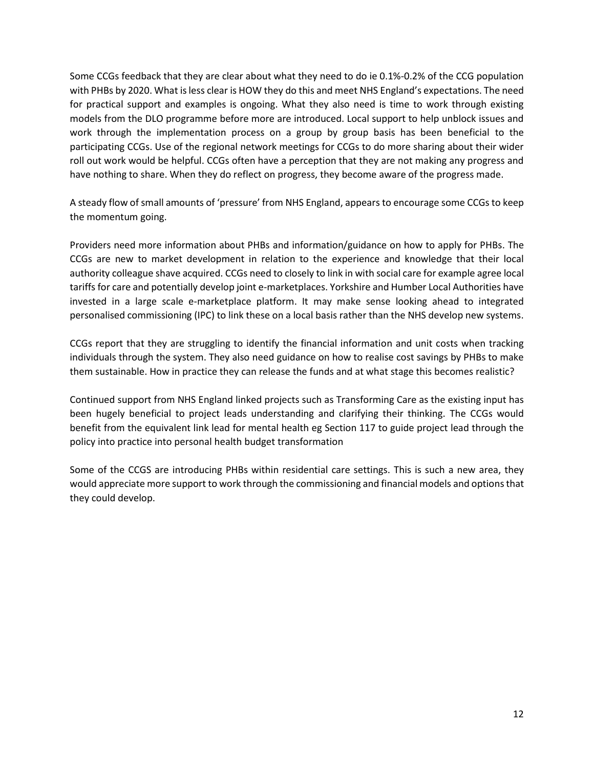Some CCGs feedback that they are clear about what they need to do ie 0.1%-0.2% of the CCG population with PHBs by 2020. What is less clear is HOW they do this and meet NHS England's expectations. The need for practical support and examples is ongoing. What they also need is time to work through existing models from the DLO programme before more are introduced. Local support to help unblock issues and work through the implementation process on a group by group basis has been beneficial to the participating CCGs. Use of the regional network meetings for CCGs to do more sharing about their wider roll out work would be helpful. CCGs often have a perception that they are not making any progress and have nothing to share. When they do reflect on progress, they become aware of the progress made.

A steady flow of small amounts of 'pressure' from NHS England, appears to encourage some CCGs to keep the momentum going.

Providers need more information about PHBs and information/guidance on how to apply for PHBs. The CCGs are new to market development in relation to the experience and knowledge that their local authority colleague shave acquired. CCGs need to closely to link in with social care for example agree local tariffs for care and potentially develop joint e-marketplaces. Yorkshire and Humber Local Authorities have invested in a large scale e-marketplace platform. It may make sense looking ahead to integrated personalised commissioning (IPC) to link these on a local basis rather than the NHS develop new systems.

CCGs report that they are struggling to identify the financial information and unit costs when tracking individuals through the system. They also need guidance on how to realise cost savings by PHBs to make them sustainable. How in practice they can release the funds and at what stage this becomes realistic?

Continued support from NHS England linked projects such as Transforming Care as the existing input has been hugely beneficial to project leads understanding and clarifying their thinking. The CCGs would benefit from the equivalent link lead for mental health eg Section 117 to guide project lead through the policy into practice into personal health budget transformation

Some of the CCGS are introducing PHBs within residential care settings. This is such a new area, they would appreciate more support to work through the commissioning and financial models and options that they could develop.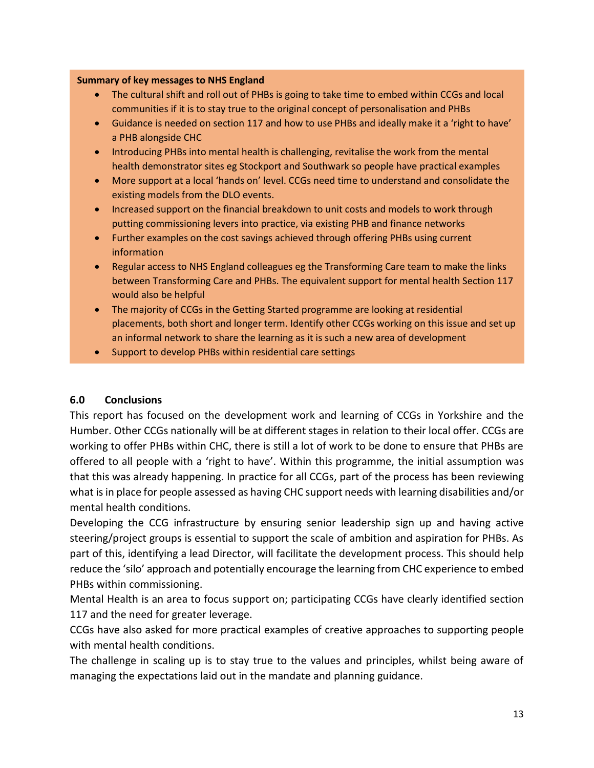#### **Summary of key messages to NHS England**

- The cultural shift and roll out of PHBs is going to take time to embed within CCGs and local communities if it is to stay true to the original concept of personalisation and PHBs
- Guidance is needed on section 117 and how to use PHBs and ideally make it a 'right to have' a PHB alongside CHC
- Introducing PHBs into mental health is challenging, revitalise the work from the mental health demonstrator sites eg Stockport and Southwark so people have practical examples
- More support at a local 'hands on' level. CCGs need time to understand and consolidate the existing models from the DLO events.
- Increased support on the financial breakdown to unit costs and models to work through putting commissioning levers into practice, via existing PHB and finance networks
- Further examples on the cost savings achieved through offering PHBs using current information
- Regular access to NHS England colleagues eg the Transforming Care team to make the links between Transforming Care and PHBs. The equivalent support for mental health Section 117 would also be helpful
- The majority of CCGs in the Getting Started programme are looking at residential placements, both short and longer term. Identify other CCGs working on this issue and set up an informal network to share the learning as it is such a new area of development
- Support to develop PHBs within residential care settings

#### **6.0 Conclusions**

This report has focused on the development work and learning of CCGs in Yorkshire and the Humber. Other CCGs nationally will be at different stages in relation to their local offer. CCGs are working to offer PHBs within CHC, there is still a lot of work to be done to ensure that PHBs are offered to all people with a 'right to have'. Within this programme, the initial assumption was that this was already happening. In practice for all CCGs, part of the process has been reviewing what is in place for people assessed as having CHC support needs with learning disabilities and/or mental health conditions.

Developing the CCG infrastructure by ensuring senior leadership sign up and having active steering/project groups is essential to support the scale of ambition and aspiration for PHBs. As part of this, identifying a lead Director, will facilitate the development process. This should help reduce the 'silo' approach and potentially encourage the learning from CHC experience to embed PHBs within commissioning.

Mental Health is an area to focus support on; participating CCGs have clearly identified section 117 and the need for greater leverage.

CCGs have also asked for more practical examples of creative approaches to supporting people with mental health conditions.

The challenge in scaling up is to stay true to the values and principles, whilst being aware of managing the expectations laid out in the mandate and planning guidance.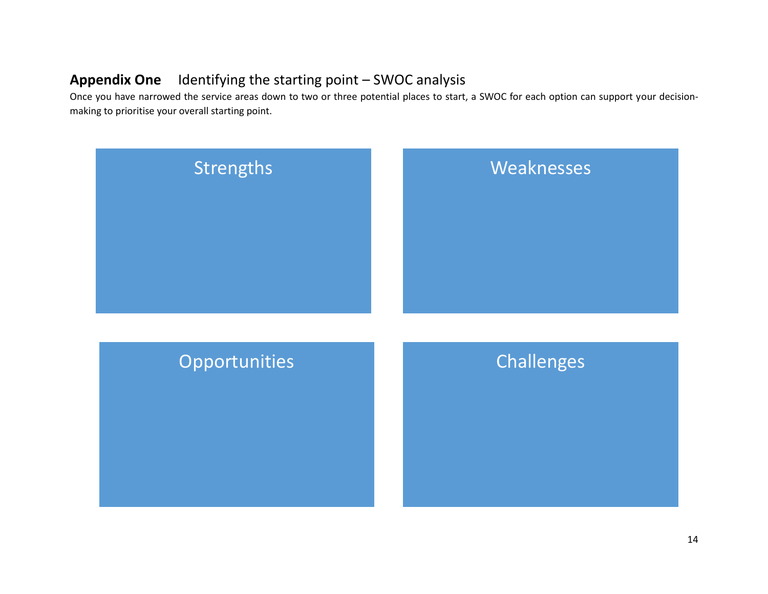# **Appendix One** Identifying the starting point – SWOC analysis

Once you have narrowed the service areas down to two or three potential places to start, a SWOC for each option can support your decisionmaking to prioritise your overall starting point.

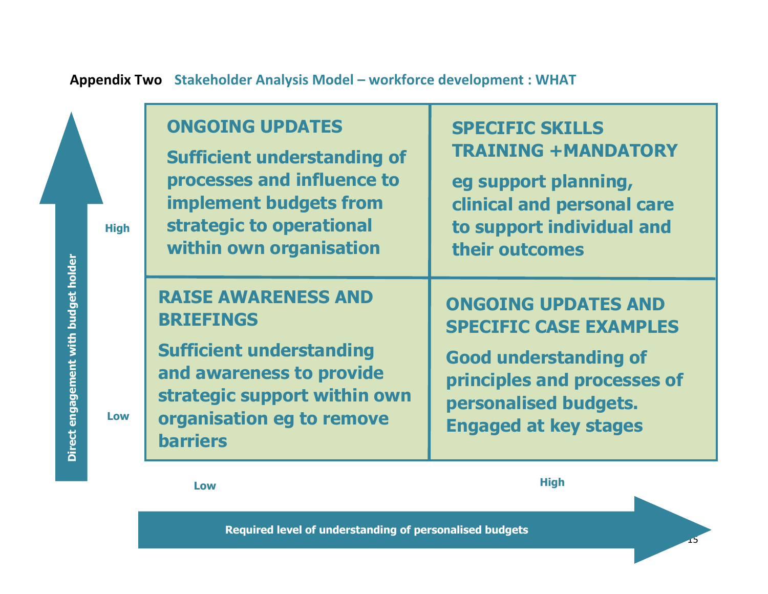

**High Low**

15

**Required level of understanding of personalised budgets**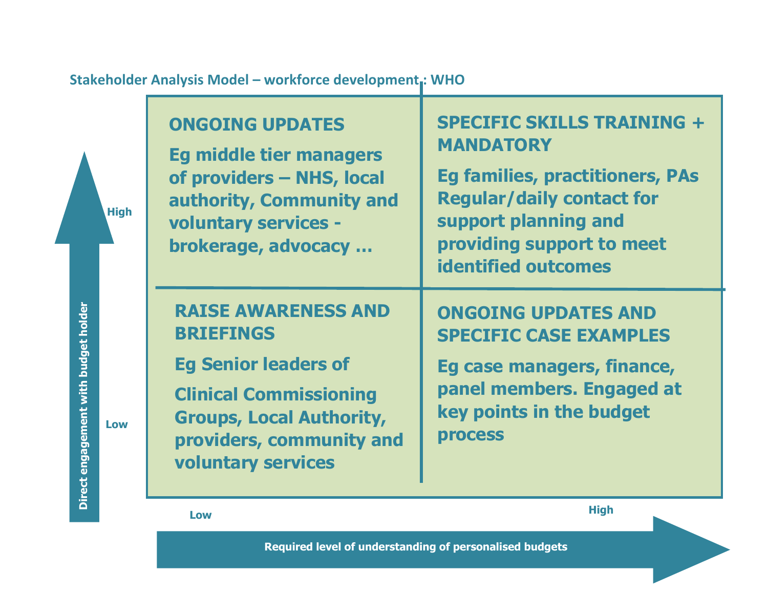

**Stakeholder Analysis Model – workforce development : WHO**

**Required level of understanding of personalised budgets**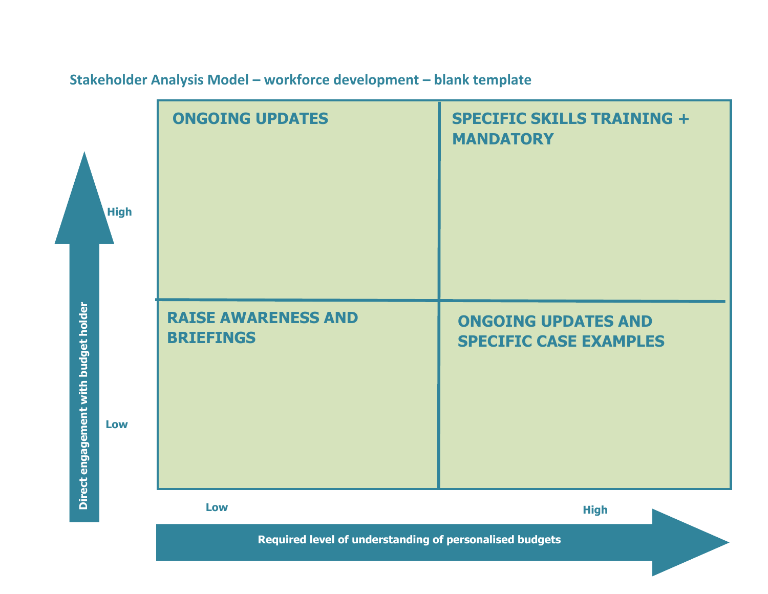

# **Stakeholder Analysis Model – workforce development – blank template**

**Required level of understanding of personalised budgets**